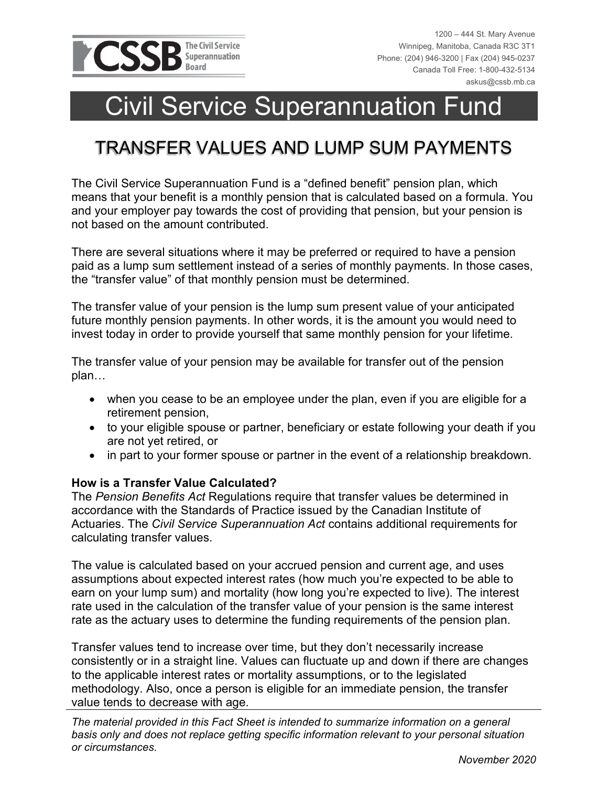

# Civil Service Superannuation Fund

### TRANSFER VALUES AND LUMP SUM PAYMENTS

The Civil Service Superannuation Fund is a "defined benefit" pension plan, which means that your benefit is a monthly pension that is calculated based on a formula. You and your employer pay towards the cost of providing that pension, but your pension is not based on the amount contributed.

There are several situations where it may be preferred or required to have a pension paid as a lump sum settlement instead of a series of monthly payments. In those cases, the "transfer value" of that monthly pension must be determined.

The transfer value of your pension is the lump sum present value of your anticipated future monthly pension payments. In other words, it is the amount you would need to invest today in order to provide yourself that same monthly pension for your lifetime.

The transfer value of your pension may be available for transfer out of the pension plan…

- when you cease to be an employee under the plan, even if you are eligible for a retirement pension,
- to your eligible spouse or partner, beneficiary or estate following your death if you are not yet retired, or
- in part to your former spouse or partner in the event of a relationship breakdown.

#### **How is a Transfer Value Calculated?**

The *Pension Benefits Act* Regulations require that transfer values be determined in accordance with the Standards of Practice issued by the Canadian Institute of Actuaries. The *Civil Service Superannuation Act* contains additional requirements for calculating transfer values.

The value is calculated based on your accrued pension and current age, and uses assumptions about expected interest rates (how much you're expected to be able to earn on your lump sum) and mortality (how long you're expected to live). The interest rate used in the calculation of the transfer value of your pension is the same interest rate as the actuary uses to determine the funding requirements of the pension plan.

Transfer values tend to increase over time, but they don't necessarily increase consistently or in a straight line. Values can fluctuate up and down if there are changes to the applicable interest rates or mortality assumptions, or to the legislated methodology. Also, once a person is eligible for an immediate pension, the transfer value tends to decrease with age.

*The material provided in this Fact Sheet is intended to summarize information on a general basis only and does not replace getting specific information relevant to your personal situation or circumstances.*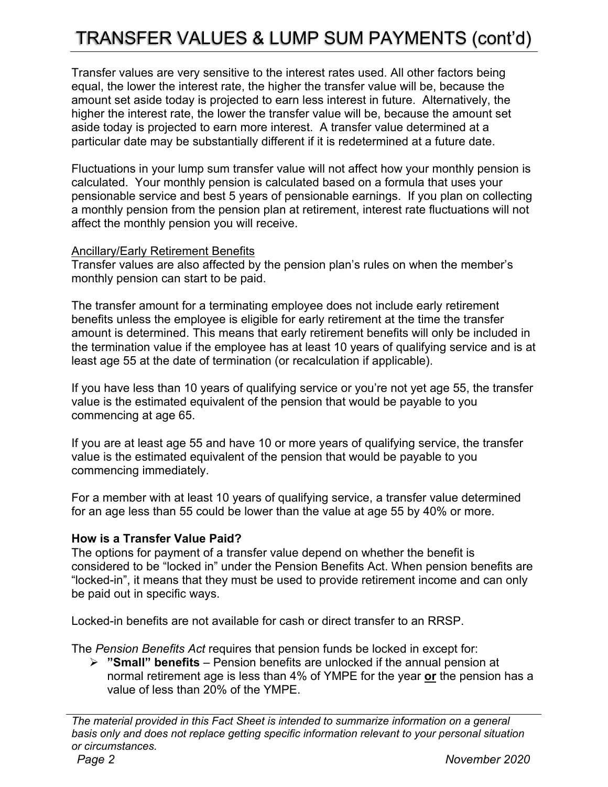## TRANSFER VALUES & LUMP SUM PAYMENTS (cont'd)

Transfer values are very sensitive to the interest rates used. All other factors being equal, the lower the interest rate, the higher the transfer value will be, because the amount set aside today is projected to earn less interest in future. Alternatively, the higher the interest rate, the lower the transfer value will be, because the amount set aside today is projected to earn more interest. A transfer value determined at a particular date may be substantially different if it is redetermined at a future date.

Fluctuations in your lump sum transfer value will not affect how your monthly pension is calculated. Your monthly pension is calculated based on a formula that uses your pensionable service and best 5 years of pensionable earnings. If you plan on collecting a monthly pension from the pension plan at retirement, interest rate fluctuations will not affect the monthly pension you will receive.

### Ancillary/Early Retirement Benefits

Transfer values are also affected by the pension plan's rules on when the member's monthly pension can start to be paid.

The transfer amount for a terminating employee does not include early retirement benefits unless the employee is eligible for early retirement at the time the transfer amount is determined. This means that early retirement benefits will only be included in the termination value if the employee has at least 10 years of qualifying service and is at least age 55 at the date of termination (or recalculation if applicable).

If you have less than 10 years of qualifying service or you're not yet age 55, the transfer value is the estimated equivalent of the pension that would be payable to you commencing at age 65.

If you are at least age 55 and have 10 or more years of qualifying service, the transfer value is the estimated equivalent of the pension that would be payable to you commencing immediately.

For a member with at least 10 years of qualifying service, a transfer value determined for an age less than 55 could be lower than the value at age 55 by 40% or more.

### **How is a Transfer Value Paid?**

The options for payment of a transfer value depend on whether the benefit is considered to be "locked in" under the Pension Benefits Act. When pension benefits are "locked-in", it means that they must be used to provide retirement income and can only be paid out in specific ways.

Locked-in benefits are not available for cash or direct transfer to an RRSP.

The *Pension Benefits Act* requires that pension funds be locked in except for:

 **"Small" benefits** – Pension benefits are unlocked if the annual pension at normal retirement age is less than 4% of YMPE for the year **or** the pension has a value of less than 20% of the YMPE.

*The material provided in this Fact Sheet is intended to summarize information on a general basis only and does not replace getting specific information relevant to your personal situation or circumstances.*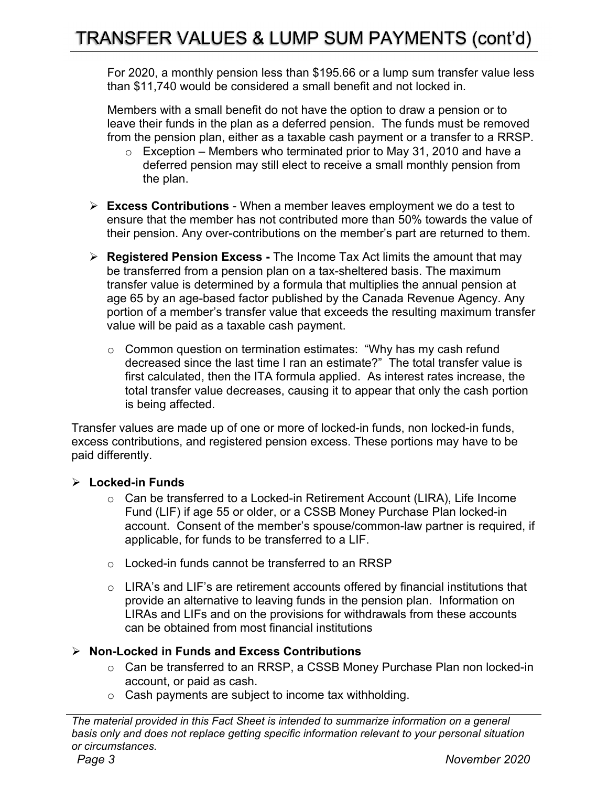### TRANSFER VALUES & LUMP SUM PAYMENTS (cont'd)

For 2020, a monthly pension less than \$195.66 or a lump sum transfer value less than \$11,740 would be considered a small benefit and not locked in.

Members with a small benefit do not have the option to draw a pension or to leave their funds in the plan as a deferred pension. The funds must be removed from the pension plan, either as a taxable cash payment or a transfer to a RRSP.

- $\circ$  Exception Members who terminated prior to May 31, 2010 and have a deferred pension may still elect to receive a small monthly pension from the plan.
- **Excess Contributions** When a member leaves employment we do a test to ensure that the member has not contributed more than 50% towards the value of their pension. Any over-contributions on the member's part are returned to them.
- **Registered Pension Excess** The Income Tax Act limits the amount that may be transferred from a pension plan on a tax-sheltered basis. The maximum transfer value is determined by a formula that multiplies the annual pension at age 65 by an age-based factor published by the Canada Revenue Agency. Any portion of a member's transfer value that exceeds the resulting maximum transfer value will be paid as a taxable cash payment.
	- o Common question on termination estimates: "Why has my cash refund decreased since the last time I ran an estimate?" The total transfer value is first calculated, then the ITA formula applied. As interest rates increase, the total transfer value decreases, causing it to appear that only the cash portion is being affected.

Transfer values are made up of one or more of locked-in funds, non locked-in funds, excess contributions, and registered pension excess. These portions may have to be paid differently.

### **Locked-in Funds**

- $\circ$  Can be transferred to a Locked-in Retirement Account (LIRA), Life Income Fund (LIF) if age 55 or older, or a CSSB Money Purchase Plan locked-in account. Consent of the member's spouse/common-law partner is required, if applicable, for funds to be transferred to a LIF.
- o Locked-in funds cannot be transferred to an RRSP
- o LIRA's and LIF's are retirement accounts offered by financial institutions that provide an alternative to leaving funds in the pension plan. Information on LIRAs and LIFs and on the provisions for withdrawals from these accounts can be obtained from most financial institutions

### **Non-Locked in Funds and Excess Contributions**

- o Can be transferred to an RRSP, a CSSB Money Purchase Plan non locked-in account, or paid as cash.
- o Cash payments are subject to income tax withholding.

*The material provided in this Fact Sheet is intended to summarize information on a general basis only and does not replace getting specific information relevant to your personal situation or circumstances.*